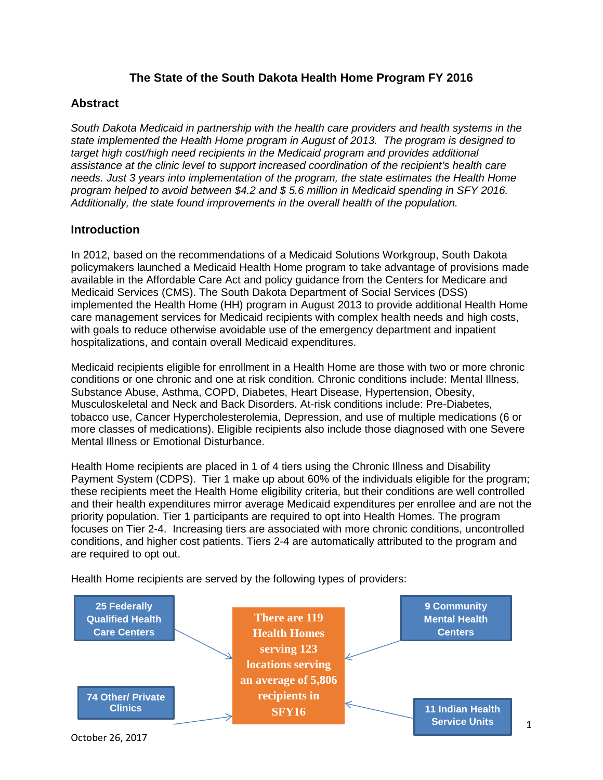## **The State of the South Dakota Health Home Program FY 2016**

#### **Abstract**

*South Dakota Medicaid in partnership with the health care providers and health systems in the state implemented the Health Home program in August of 2013. The program is designed to target high cost/high need recipients in the Medicaid program and provides additional assistance at the clinic level to support increased coordination of the recipient's health care needs. Just 3 years into implementation of the program, the state estimates the Health Home program helped to avoid between \$4.2 and \$ 5.6 million in Medicaid spending in SFY 2016. Additionally, the state found improvements in the overall health of the population.* 

#### **Introduction**

In 2012, based on the recommendations of a Medicaid Solutions Workgroup, South Dakota policymakers launched a Medicaid Health Home program to take advantage of provisions made available in the Affordable Care Act and policy guidance from the Centers for Medicare and Medicaid Services (CMS). The South Dakota Department of Social Services (DSS) implemented the Health Home (HH) program in August 2013 to provide additional Health Home care management services for Medicaid recipients with complex health needs and high costs, with goals to reduce otherwise avoidable use of the emergency department and inpatient hospitalizations, and contain overall Medicaid expenditures.

Medicaid recipients eligible for enrollment in a Health Home are those with two or more chronic conditions or one chronic and one at risk condition. Chronic conditions include: Mental Illness, Substance Abuse, Asthma, COPD, Diabetes, Heart Disease, Hypertension, Obesity, Musculoskeletal and Neck and Back Disorders. At-risk conditions include: Pre-Diabetes, tobacco use, Cancer Hypercholesterolemia, Depression, and use of multiple medications (6 or more classes of medications). Eligible recipients also include those diagnosed with one Severe Mental Illness or Emotional Disturbance.

Health Home recipients are placed in 1 of 4 tiers using the Chronic Illness and Disability Payment System (CDPS). Tier 1 make up about 60% of the individuals eligible for the program; these recipients meet the Health Home eligibility criteria, but their conditions are well controlled and their health expenditures mirror average Medicaid expenditures per enrollee and are not the priority population. Tier 1 participants are required to opt into Health Homes. The program focuses on Tier 2-4. Increasing tiers are associated with more chronic conditions, uncontrolled conditions, and higher cost patients. Tiers 2-4 are automatically attributed to the program and are required to opt out.

Health Home recipients are served by the following types of providers:



1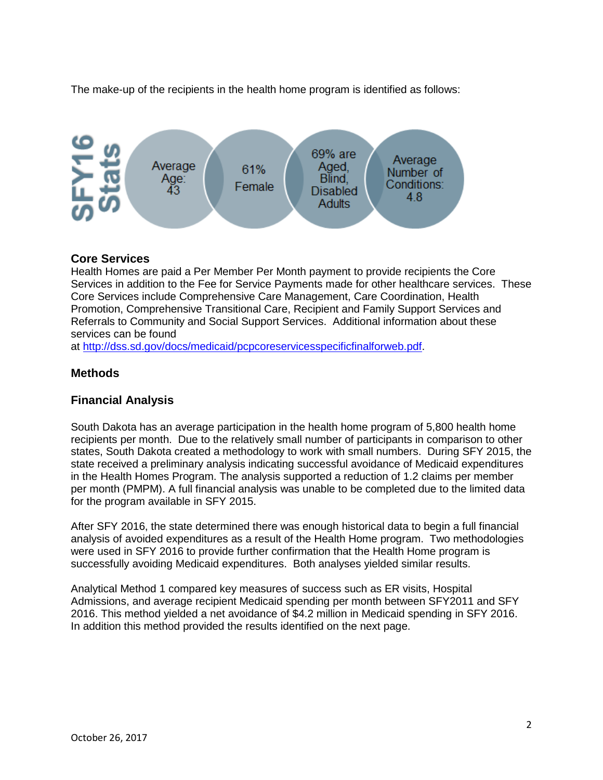The make-up of the recipients in the health home program is identified as follows:



## **Core Services**

Health Homes are paid a Per Member Per Month payment to provide recipients the Core Services in addition to the Fee for Service Payments made for other healthcare services. These Core Services include Comprehensive Care Management, Care Coordination, Health Promotion, Comprehensive Transitional Care, Recipient and Family Support Services and Referrals to Community and Social Support Services. Additional information about these services can be found

at [http://dss.sd.gov/docs/medicaid/pcpcoreservicesspecificfinalforweb.pdf.](http://dss.sd.gov/docs/medicaid/pcpcoreservicesspecificfinalforweb.pdf)

## **Methods**

## **Financial Analysis**

South Dakota has an average participation in the health home program of 5,800 health home recipients per month. Due to the relatively small number of participants in comparison to other states, South Dakota created a methodology to work with small numbers. During SFY 2015, the state received a preliminary analysis indicating successful avoidance of Medicaid expenditures in the Health Homes Program. The analysis supported a reduction of 1.2 claims per member per month (PMPM). A full financial analysis was unable to be completed due to the limited data for the program available in SFY 2015.

After SFY 2016, the state determined there was enough historical data to begin a full financial analysis of avoided expenditures as a result of the Health Home program. Two methodologies were used in SFY 2016 to provide further confirmation that the Health Home program is successfully avoiding Medicaid expenditures. Both analyses yielded similar results.

Analytical Method 1 compared key measures of success such as ER visits, Hospital Admissions, and average recipient Medicaid spending per month between SFY2011 and SFY 2016. This method yielded a net avoidance of \$4.2 million in Medicaid spending in SFY 2016. In addition this method provided the results identified on the next page.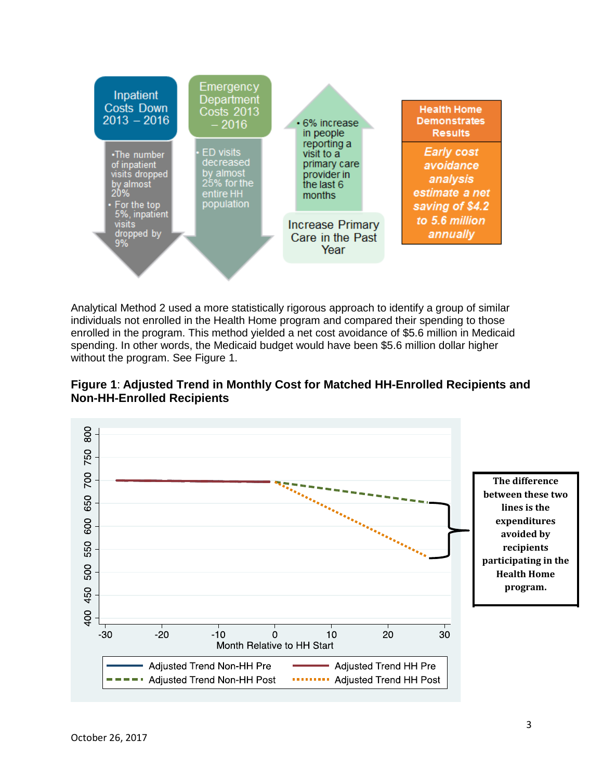

Analytical Method 2 used a more statistically rigorous approach to identify a group of similar individuals not enrolled in the Health Home program and compared their spending to those enrolled in the program. This method yielded a net cost avoidance of \$5.6 million in Medicaid spending. In other words, the Medicaid budget would have been \$5.6 million dollar higher without the program. See Figure 1.



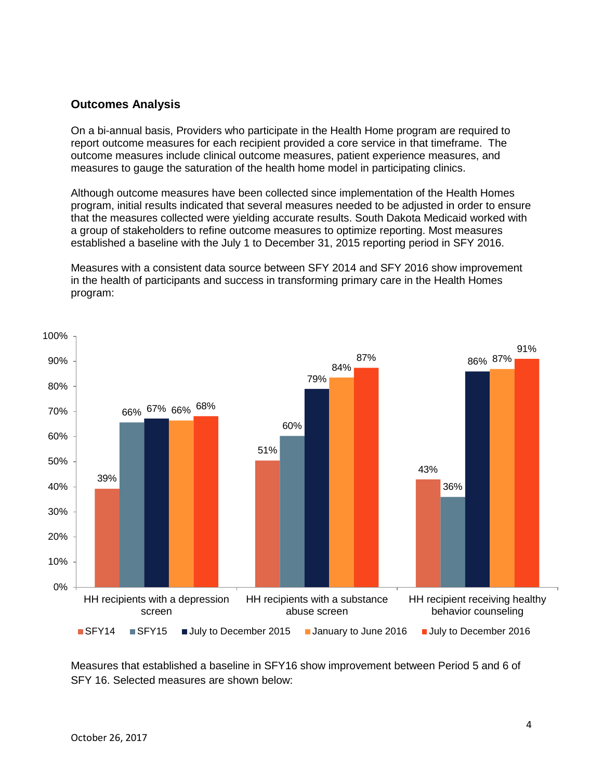#### **Outcomes Analysis**

On a bi-annual basis, Providers who participate in the Health Home program are required to report outcome measures for each recipient provided a core service in that timeframe. The outcome measures include clinical outcome measures, patient experience measures, and measures to gauge the saturation of the health home model in participating clinics.

Although outcome measures have been collected since implementation of the Health Homes program, initial results indicated that several measures needed to be adjusted in order to ensure that the measures collected were yielding accurate results. South Dakota Medicaid worked with a group of stakeholders to refine outcome measures to optimize reporting. Most measures established a baseline with the July 1 to December 31, 2015 reporting period in SFY 2016.

Measures with a consistent data source between SFY 2014 and SFY 2016 show improvement in the health of participants and success in transforming primary care in the Health Homes program:



Measures that established a baseline in SFY16 show improvement between Period 5 and 6 of SFY 16. Selected measures are shown below: